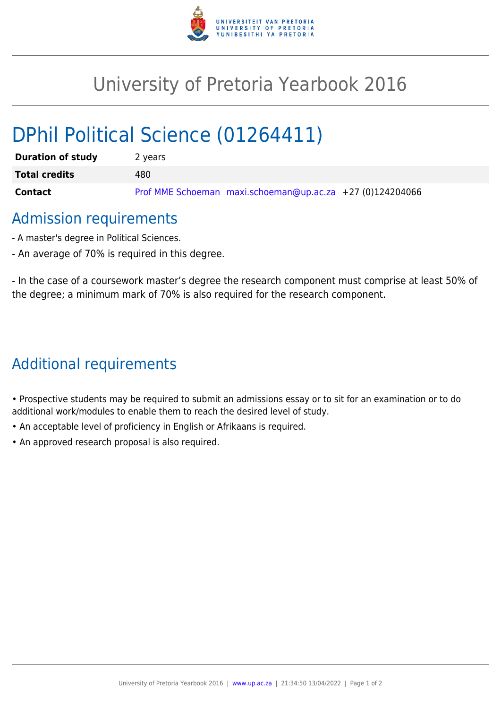

## University of Pretoria Yearbook 2016

# DPhil Political Science (01264411)

| <b>Duration of study</b> | 2 years                                                   |
|--------------------------|-----------------------------------------------------------|
| <b>Total credits</b>     | 480                                                       |
| Contact                  | Prof MME Schoeman maxi.schoeman@up.ac.za +27 (0)124204066 |

## Admission requirements

- A master's degree in Political Sciences.
- An average of 70% is required in this degree.

- In the case of a coursework master's degree the research component must comprise at least 50% of the degree; a minimum mark of 70% is also required for the research component.

## Additional requirements

• Prospective students may be required to submit an admissions essay or to sit for an examination or to do additional work/modules to enable them to reach the desired level of study.

- An acceptable level of proficiency in English or Afrikaans is required.
- An approved research proposal is also required.